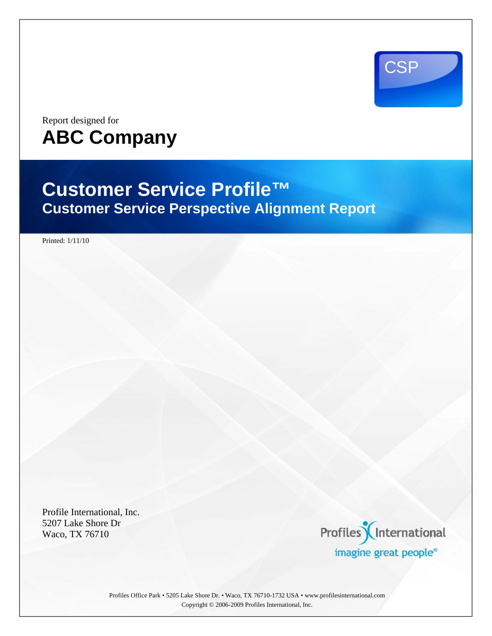

Report designed for **ABC Company** 

# **Customer Service Profile™ Customer Service Perspective Alignment Report**

Printed: 1/11/10

Profile International, Inc. 5207 Lake Shore Dr Waco, TX 76710



Profiles Office Park • 5205 Lake Shore Dr. • Waco, TX 76710-1732 USA • www.profilesinternational.com Copyright © 2006-2009 Profiles International, Inc.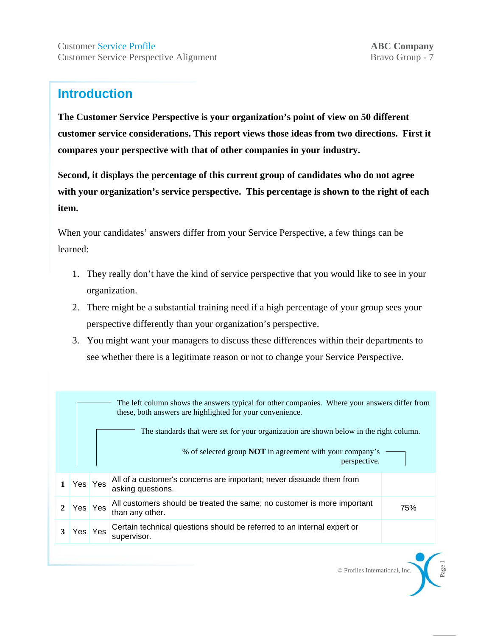## **Introduction**

**The Customer Service Perspective is your organization's point of view on 50 different customer service considerations. This report views those ideas from two directions. First it compares your perspective with that of other companies in your industry.** 

**Second, it displays the percentage of this current group of candidates who do not agree with your organization's service perspective. This percentage is shown to the right of each item.**

When your candidates' answers differ from your Service Perspective, a few things can be learned:

- 1. They really don't have the kind of service perspective that you would like to see in your organization.
- 2. There might be a substantial training need if a high percentage of your group sees your perspective differently than your organization's perspective.
- 3. You might want your managers to discuss these differences within their departments to see whether there is a legitimate reason or not to change your Service Perspective.

|                                                                                        | The left column shows the answers typical for other companies. Where your answers differ from<br>these, both answers are highlighted for your convenience. |  |                                                                                            |     |  |  |
|----------------------------------------------------------------------------------------|------------------------------------------------------------------------------------------------------------------------------------------------------------|--|--------------------------------------------------------------------------------------------|-----|--|--|
| The standards that were set for your organization are shown below in the right column. |                                                                                                                                                            |  |                                                                                            |     |  |  |
| % of selected group <b>NOT</b> in agreement with your company's<br>perspective.        |                                                                                                                                                            |  |                                                                                            |     |  |  |
|                                                                                        | Yes Yes                                                                                                                                                    |  | All of a customer's concerns are important; never dissuade them from<br>asking questions.  |     |  |  |
|                                                                                        | Yes Yes                                                                                                                                                    |  | All customers should be treated the same; no customer is more important<br>than any other. | 75% |  |  |
|                                                                                        | Yes Yes                                                                                                                                                    |  | Certain technical questions should be referred to an internal expert or<br>supervisor.     |     |  |  |

© Profiles International, Inc.

Page 1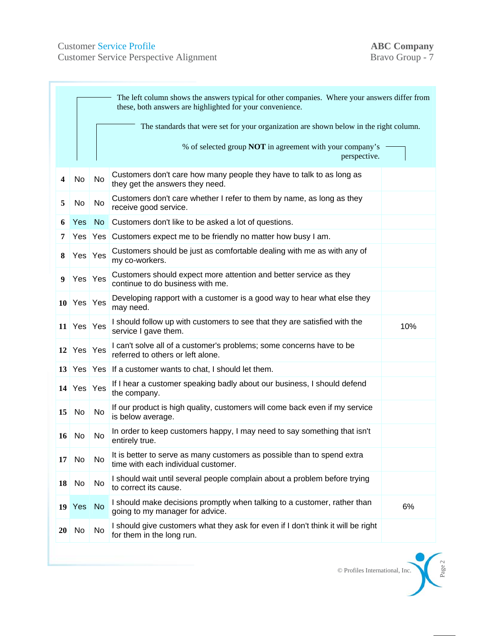Customer Service Profile<br>
Customer Service Perspective Alignment<br>
Bravo Group - 7 Customer Service Perspective Alignment

|           | The left column shows the answers typical for other companies. Where your answers differ from<br>these, both answers are highlighted for your convenience. |                                                                                        |                                                                                                                |     |  |
|-----------|------------------------------------------------------------------------------------------------------------------------------------------------------------|----------------------------------------------------------------------------------------|----------------------------------------------------------------------------------------------------------------|-----|--|
|           |                                                                                                                                                            | The standards that were set for your organization are shown below in the right column. |                                                                                                                |     |  |
|           |                                                                                                                                                            |                                                                                        | % of selected group <b>NOT</b> in agreement with your company's<br>perspective.                                |     |  |
| 4         | No                                                                                                                                                         | No                                                                                     | Customers don't care how many people they have to talk to as long as<br>they get the answers they need.        |     |  |
| 5         | No                                                                                                                                                         | No                                                                                     | Customers don't care whether I refer to them by name, as long as they<br>receive good service.                 |     |  |
| 6         | Yes                                                                                                                                                        | No                                                                                     | Customers don't like to be asked a lot of questions.                                                           |     |  |
| 7         | Yes                                                                                                                                                        |                                                                                        | Yes Customers expect me to be friendly no matter how busy I am.                                                |     |  |
| 8         | Yes Yes                                                                                                                                                    |                                                                                        | Customers should be just as comfortable dealing with me as with any of<br>my co-workers.                       |     |  |
| 9         | Yes Yes                                                                                                                                                    |                                                                                        | Customers should expect more attention and better service as they<br>continue to do business with me.          |     |  |
|           | $10$ Yes Yes                                                                                                                                               |                                                                                        | Developing rapport with a customer is a good way to hear what else they<br>may need.                           |     |  |
|           | $11$ Yes Yes                                                                                                                                               |                                                                                        | I should follow up with customers to see that they are satisfied with the<br>service I gave them.              | 10% |  |
| 12        | Yes Yes                                                                                                                                                    |                                                                                        | I can't solve all of a customer's problems; some concerns have to be<br>referred to others or left alone.      |     |  |
| 13        |                                                                                                                                                            |                                                                                        | Yes   Yes   If a customer wants to chat, I should let them.                                                    |     |  |
|           | $14$ Yes Yes                                                                                                                                               |                                                                                        | If I hear a customer speaking badly about our business, I should defend<br>the company.                        |     |  |
| 15        | No                                                                                                                                                         | No                                                                                     | If our product is high quality, customers will come back even if my service<br>is below average.               |     |  |
| 16        | No                                                                                                                                                         | No                                                                                     | In order to keep customers happy, I may need to say something that isn't<br>entirely true.                     |     |  |
| 17        | No                                                                                                                                                         | No                                                                                     | It is better to serve as many customers as possible than to spend extra<br>time with each individual customer. |     |  |
| 18        | No                                                                                                                                                         | No.                                                                                    | I should wait until several people complain about a problem before trying<br>to correct its cause.             |     |  |
|           | 19 Yes                                                                                                                                                     | <b>No</b>                                                                              | I should make decisions promptly when talking to a customer, rather than<br>going to my manager for advice.    | 6%  |  |
| <b>20</b> | No                                                                                                                                                         | No                                                                                     | I should give customers what they ask for even if I don't think it will be right<br>for them in the long run.  |     |  |

© Profiles International, Inc.

Page 2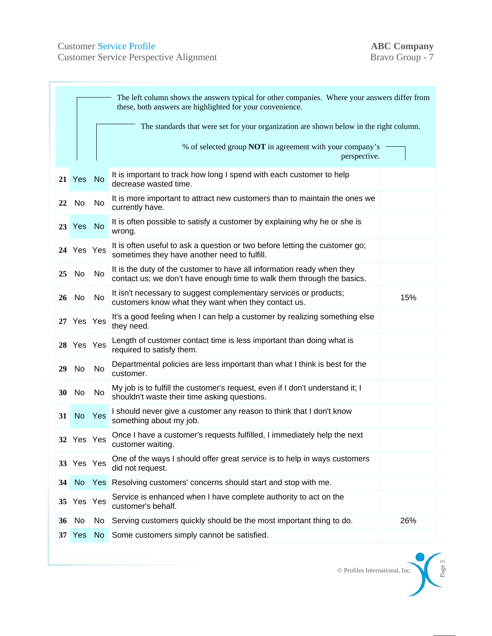Customer Service Profile<br>
Customer Service Perspective Alignment<br>
Bravo Group - 7 Customer Service Perspective Alignment

|                 | The left column shows the answers typical for other companies. Where your answers differ from<br>these, both answers are highlighted for your convenience. |           |                                                                                                                                                  |     |
|-----------------|------------------------------------------------------------------------------------------------------------------------------------------------------------|-----------|--------------------------------------------------------------------------------------------------------------------------------------------------|-----|
|                 |                                                                                                                                                            |           | The standards that were set for your organization are shown below in the right column.                                                           |     |
|                 |                                                                                                                                                            |           | % of selected group <b>NOT</b> in agreement with your company's<br>perspective.                                                                  |     |
|                 | 21 Yes                                                                                                                                                     | No        | It is important to track how long I spend with each customer to help<br>decrease wasted time.                                                    |     |
| 22              | No                                                                                                                                                         | <b>No</b> | It is more important to attract new customers than to maintain the ones we<br>currently have.                                                    |     |
|                 | 23 Yes                                                                                                                                                     | <b>No</b> | It is often possible to satisfy a customer by explaining why he or she is<br>wrong.                                                              |     |
|                 | 24 Yes Yes                                                                                                                                                 |           | It is often useful to ask a question or two before letting the customer go;<br>sometimes they have another need to fulfill.                      |     |
| 25              | No                                                                                                                                                         | <b>No</b> | It is the duty of the customer to have all information ready when they<br>contact us; we don't have enough time to walk them through the basics. |     |
| 26              | No                                                                                                                                                         | No        | It isn't necessary to suggest complementary services or products;<br>customers know what they want when they contact us.                         | 15% |
| 27              | Yes Yes                                                                                                                                                    |           | It's a good feeling when I can help a customer by realizing something else<br>they need.                                                         |     |
| 28              | Yes Yes                                                                                                                                                    |           | Length of customer contact time is less important than doing what is<br>required to satisfy them.                                                |     |
| 29              | No                                                                                                                                                         | No        | Departmental policies are less important than what I think is best for the<br>customer.                                                          |     |
| 30              | No                                                                                                                                                         | No        | My job is to fulfill the customer's request, even if I don't understand it; I<br>shouldn't waste their time asking questions.                    |     |
| 31              | No                                                                                                                                                         | Yes       | I should never give a customer any reason to think that I don't know<br>something about my job.                                                  |     |
|                 | 32 Yes Yes                                                                                                                                                 |           | Once I have a customer's requests fulfilled, I immediately help the next<br>customer waiting.                                                    |     |
|                 | 33 Yes Yes                                                                                                                                                 |           | One of the ways I should offer great service is to help in ways customers<br>did not request.                                                    |     |
| 34              | <b>No</b>                                                                                                                                                  |           | Yes Resolving customers' concerns should start and stop with me.                                                                                 |     |
| 35 <sup>1</sup> | Yes Yes                                                                                                                                                    |           | Service is enhanced when I have complete authority to act on the<br>customer's behalf.                                                           |     |
| 36              | No                                                                                                                                                         | No        | Serving customers quickly should be the most important thing to do.                                                                              | 26% |
|                 | 37 Yes                                                                                                                                                     | No.       | Some customers simply cannot be satisfied.                                                                                                       |     |